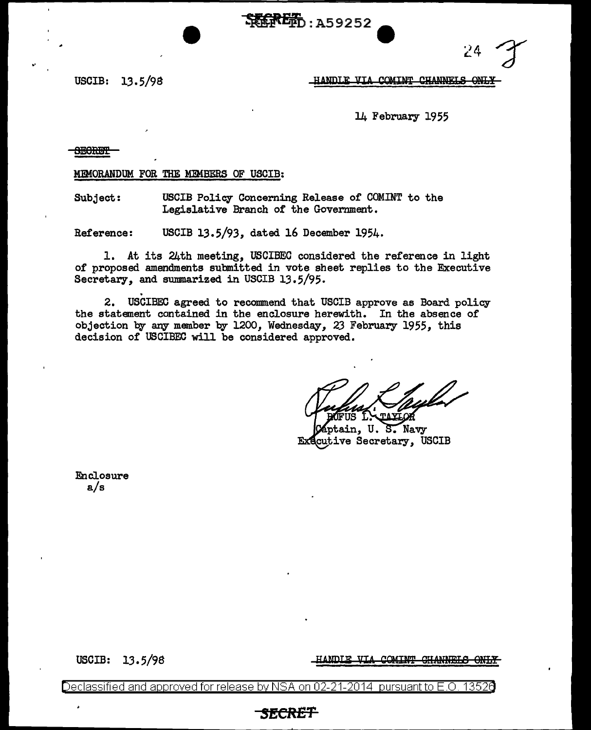SELEED: A59252



USCIB: 13.5/98 **HANDIE VIA COMINT CHANNELS ONLY** 

14 February 1955

**SECRET** 

MEMORANDUM FOR THE MEMBERS OF USCIB:

Subject: USCIB Policy Concerning Release *of* COMINT to the Legislative Branch of the Government.

Reference: USCIB 13.5/93, dated 16 December 1954.

1. At its 24th meeting, USCIBEC considered the reference in light of proposed amendments submitted in vote sheet replies to the Executive Secretary, and summarized in USCIB 13.5/95.

. 2. USCIBEC agreed to recommend that USCIB approve as Board policy the statement contained in the enclosure herewith. In the absence of objection by any member by 1200, Wednesday, 23 February 1955, this decision of USCIBEC will be considered approved.

tain, U.S. Navy cutive Secretary, USCIB

Enclosure a/s

USCIB: 13.5/98

HANDLE VIA COMINT CHANNELS ONLY

Declassified and approved for release by NSA on 02-21-2014 pursuant to E.O. 13526

## *SECRET*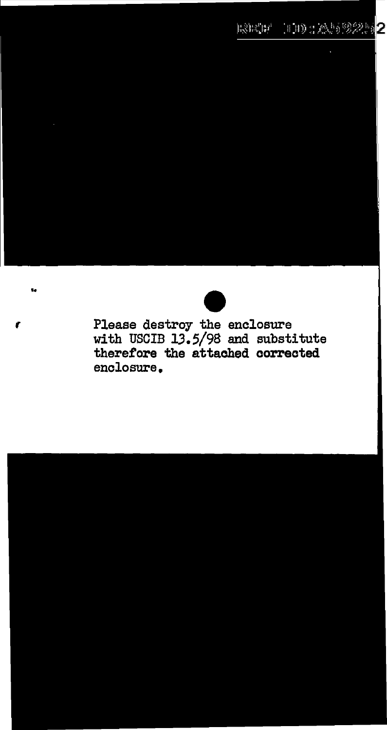

( Please destroy the enclosure with USCIB 13.5/98 and substitute therefore the attached corrected enclosure.